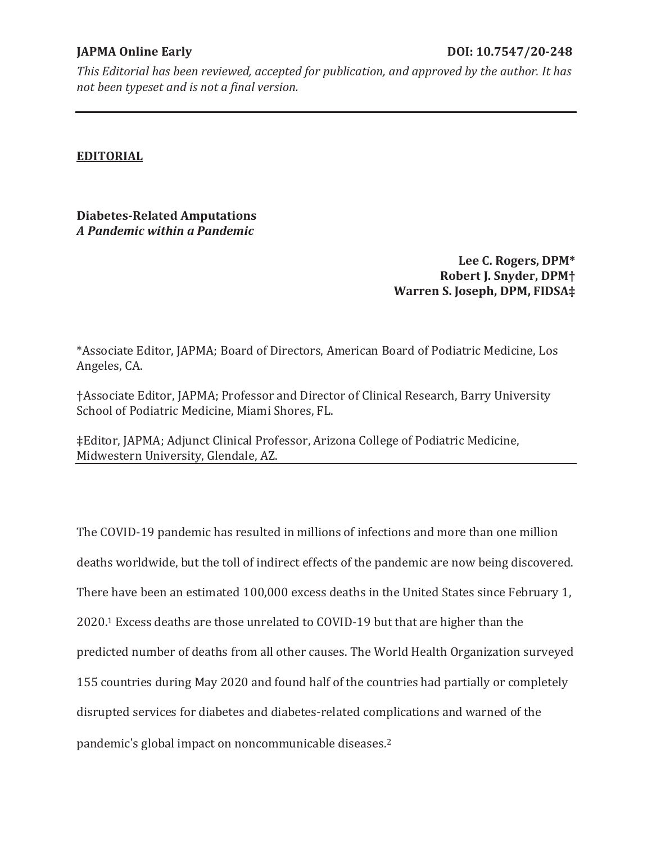## **EDITORIAL**

**Diabetes-Related Amputations**  *A Pandemic within a Pandemic* 

> **Lee C. Rogers, DPM\* Robert J. Snyder, DPM† Warren S. Joseph, DPM, FIDSA‡**

\*Associate Editor, JAPMA; Board of Directors, American Board of Podiatric Medicine, Los Angeles, CA.

†Associate Editor, JAPMA; Professor and Director of Clinical Research, Barry University School of Podiatric Medicine, Miami Shores, FL.

‡Editor, JAPMA; Adjunct Clinical Professor, Arizona College of Podiatric Medicine, Midwestern University, Glendale, AZ.

The COVID-19 pandemic has resulted in millions of infections and more than one million deaths worldwide, but the toll of indirect effects of the pandemic are now being discovered. There have been an estimated 100,000 excess deaths in the United States since February 1, 2020.1 Excess deaths are those unrelated to COVID-19 but that are higher than the predicted number of deaths from all other causes. The World Health Organization surveyed 155 countries during May 2020 and found half of the countries had partially or completely disrupted services for diabetes and diabetes-related complications and warned of the

pandemic's global impact on noncommunicable diseases.<sup>2</sup>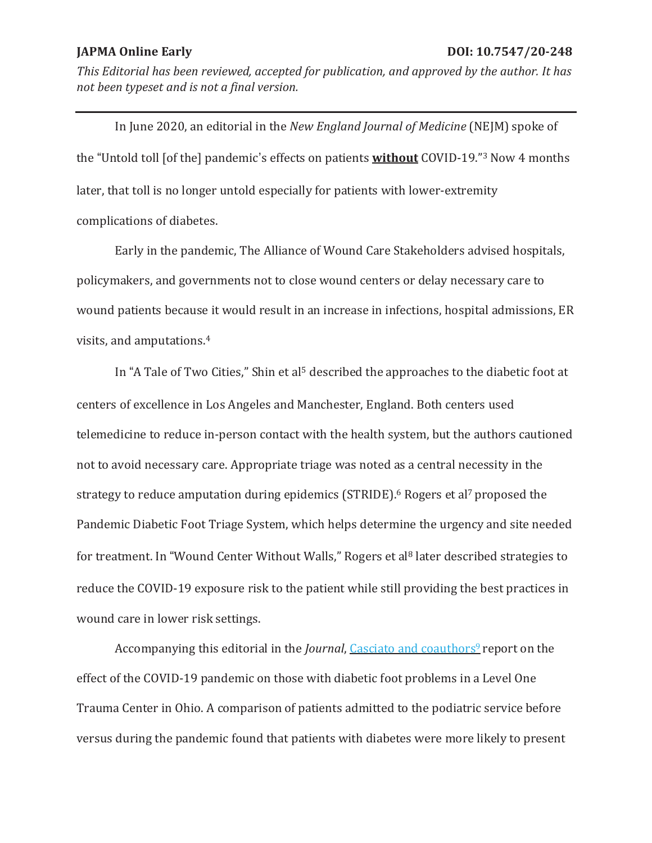In June 2020, an editorial in the *New England Journal of Medicine* (NEJM) spoke of the "Untold toll [of the] pandemic's effects on patients **without** COVID-19."<sup>3</sup> Now 4 months later, that toll is no longer untold especially for patients with lower-extremity complications of diabetes.

Early in the pandemic, The Alliance of Wound Care Stakeholders advised hospitals, policymakers, and governments not to close wound centers or delay necessary care to wound patients because it would result in an increase in infections, hospital admissions, ER visits, and amputations.4

In "A Tale of Two Cities," Shin et al<sup>5</sup> described the approaches to the diabetic foot at centers of excellence in Los Angeles and Manchester, England. Both centers used telemedicine to reduce in-person contact with the health system, but the authors cautioned not to avoid necessary care. Appropriate triage was noted as a central necessity in the strategy to reduce amputation during epidemics (STRIDE).<sup>6</sup> Rogers et al<sup>7</sup> proposed the Pandemic Diabetic Foot Triage System, which helps determine the urgency and site needed for treatment. In "Wound Center Without Walls," Rogers et al<sup>8</sup> later described strategies to reduce the COVID-19 exposure risk to the patient while still providing the best practices in wound care in lower risk settings.

Accompanying this editorial in the *Journal*, Casciato and coauthors<sup>9</sup> report on the effect of the COVID-19 pandemic on those with diabetic foot problems in a Level One Trauma Center in Ohio. A comparison of patients admitted to the podiatric service before versus during the pandemic found that patients with diabetes were more likely to present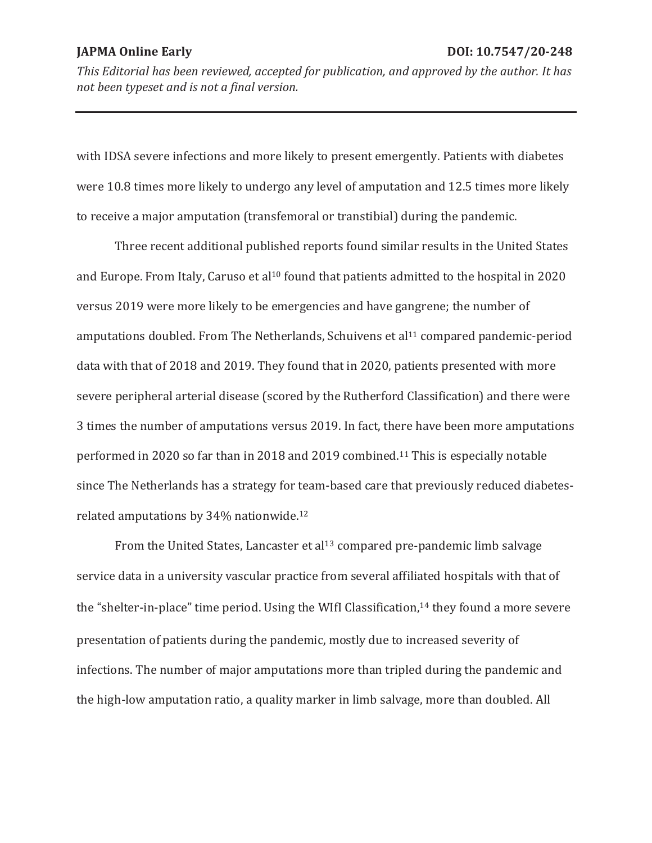with IDSA severe infections and more likely to present emergently. Patients with diabetes were 10.8 times more likely to undergo any level of amputation and 12.5 times more likely to receive a major amputation (transfemoral or transtibial) during the pandemic.

 Three recent additional published reports found similar results in the United States and Europe. From Italy, Caruso et al<sup>10</sup> found that patients admitted to the hospital in 2020 versus 2019 were more likely to be emergencies and have gangrene; the number of amputations doubled. From The Netherlands, Schuivens et al<sup>11</sup> compared pandemic-period data with that of 2018 and 2019. They found that in 2020, patients presented with more severe peripheral arterial disease (scored by the Rutherford Classification) and there were 3 times the number of amputations versus 2019. In fact, there have been more amputations performed in 2020 so far than in 2018 and 2019 combined.11 This is especially notable since The Netherlands has a strategy for team-based care that previously reduced diabetesrelated amputations by 34% nationwide.12

From the United States, Lancaster et al<sup>13</sup> compared pre-pandemic limb salvage service data in a university vascular practice from several affiliated hospitals with that of the "shelter-in-place" time period. Using the WIfI Classification,<sup>14</sup> they found a more severe presentation of patients during the pandemic, mostly due to increased severity of infections. The number of major amputations more than tripled during the pandemic and the high-low amputation ratio, a quality marker in limb salvage, more than doubled. All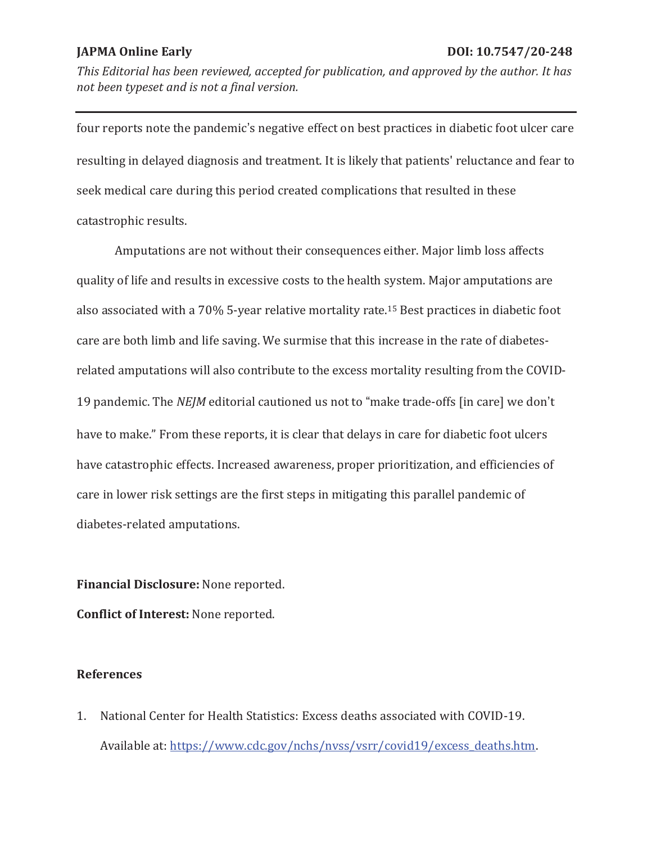four reports note the pandemic's negative effect on best practices in diabetic foot ulcer care resulting in delayed diagnosis and treatment. It is likely that patients' reluctance and fear to seek medical care during this period created complications that resulted in these catastrophic results.

 Amputations are not without their consequences either. Major limb loss affects quality of life and results in excessive costs to the health system. Major amputations are also associated with a 70% 5-year relative mortality rate.15 Best practices in diabetic foot care are both limb and life saving. We surmise that this increase in the rate of diabetesrelated amputations will also contribute to the excess mortality resulting from the COVID-19 pandemic. The *NEJM* editorial cautioned us not to "make trade-offs [in care] we don't have to make." From these reports, it is clear that delays in care for diabetic foot ulcers have catastrophic effects. Increased awareness, proper prioritization, and efficiencies of care in lower risk settings are the first steps in mitigating this parallel pandemic of diabetes-related amputations.

**Financial Disclosure:** None reported.

**Conflict of Interest:** None reported.

# **References**

1. National Center for Health Statistics: Excess deaths associated with COVID-19. Available at: https://www.cdc.gov/nchs/nvss/vsrr/covid19/excess\_deaths.htm.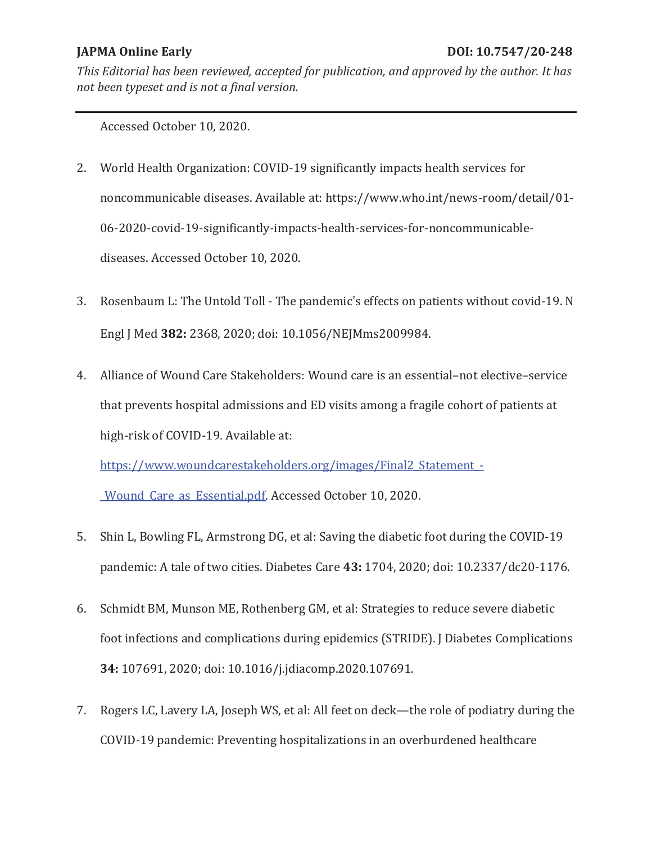Accessed October 10, 2020.

- 2. World Health Organization: COVID-19 significantly impacts health services for noncommunicable diseases. Available at: https://www.who.int/news-room/detail/01- 06-2020-covid-19-significantly-impacts-health-services-for-noncommunicablediseases. Accessed October 10, 2020.
- 3. Rosenbaum L: The Untold Toll The pandemic's effects on patients without covid-19. N Engl J Med **382:** 2368, 2020; doi: 10.1056/NEJMms2009984.
- 4. Alliance of Wound Care Stakeholders: Wound care is an essential–not elective–service that prevents hospital admissions and ED visits among a fragile cohort of patients at high-risk of COVID-19. Available at:

https://www.woundcarestakeholders.org/images/Final2 Statement -

\_Wound\_Care\_as\_Essential.pdf. Accessed October 10, 2020.

- 5. Shin L, Bowling FL, Armstrong DG, et al: Saving the diabetic foot during the COVID-19 pandemic: A tale of two cities. Diabetes Care **43:** 1704, 2020; doi: 10.2337/dc20-1176.
- 6. Schmidt BM, Munson ME, Rothenberg GM, et al: Strategies to reduce severe diabetic foot infections and complications during epidemics (STRIDE). J Diabetes Complications **34:** 107691, 2020; doi: 10.1016/j.jdiacomp.2020.107691.
- 7. Rogers LC, Lavery LA, Joseph WS, et al: All feet on deck—the role of podiatry during the COVID-19 pandemic: Preventing hospitalizations in an overburdened healthcare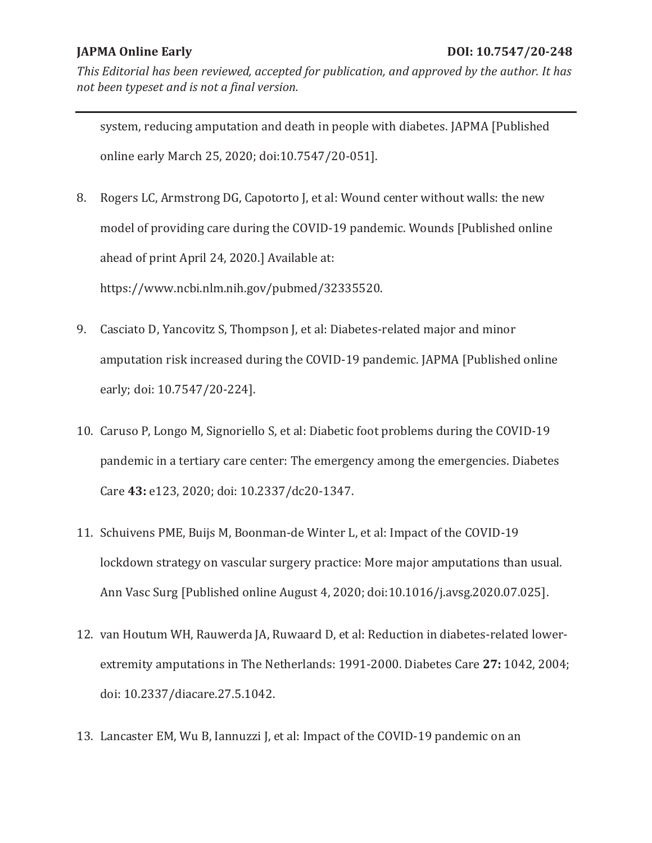system, reducing amputation and death in people with diabetes. JAPMA [Published online early March 25, 2020; doi:10.7547/20-051].

8. Rogers LC, Armstrong DG, Capotorto J, et al: Wound center without walls: the new model of providing care during the COVID-19 pandemic. Wounds [Published online ahead of print April 24, 2020.] Available at:

https://www.ncbi.nlm.nih.gov/pubmed/32335520.

- 9. Casciato D, Yancovitz S, Thompson J, et al: Diabetes-related major and minor amputation risk increased during the COVID-19 pandemic. JAPMA [Published online early; doi: 10.7547/20-224].
- 10. Caruso P, Longo M, Signoriello S, et al: Diabetic foot problems during the COVID-19 pandemic in a tertiary care center: The emergency among the emergencies. Diabetes Care **43:** e123, 2020; doi: 10.2337/dc20-1347.
- 11. Schuivens PME, Buijs M, Boonman-de Winter L, et al: Impact of the COVID-19 lockdown strategy on vascular surgery practice: More major amputations than usual. Ann Vasc Surg [Published online August 4, 2020; doi:10.1016/j.avsg.2020.07.025].
- 12. van Houtum WH, Rauwerda JA, Ruwaard D, et al: Reduction in diabetes-related lowerextremity amputations in The Netherlands: 1991-2000. Diabetes Care **27:** 1042, 2004; doi: 10.2337/diacare.27.5.1042.
- 13. Lancaster EM, Wu B, Iannuzzi J, et al: Impact of the COVID-19 pandemic on an